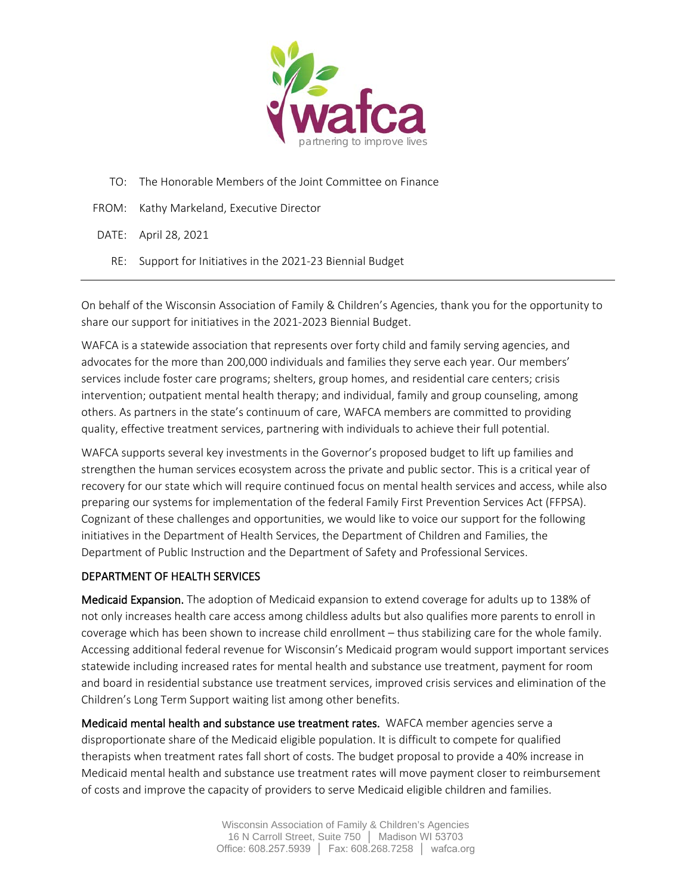

- TO: The Honorable Members of the Joint Committee on Finance
- FROM: Kathy Markeland, Executive Director

DATE: April 28, 2021

RE: Support for Initiatives in the 2021-23 Biennial Budget

On behalf of the Wisconsin Association of Family & Children's Agencies, thank you for the opportunity to share our support for initiatives in the 2021-2023 Biennial Budget.

WAFCA is a statewide association that represents over forty child and family serving agencies, and advocates for the more than 200,000 individuals and families they serve each year. Our members' services include foster care programs; shelters, group homes, and residential care centers; crisis intervention; outpatient mental health therapy; and individual, family and group counseling, among others. As partners in the state's continuum of care, WAFCA members are committed to providing quality, effective treatment services, partnering with individuals to achieve their full potential.

WAFCA supports several key investments in the Governor's proposed budget to lift up families and strengthen the human services ecosystem across the private and public sector. This is a critical year of recovery for our state which will require continued focus on mental health services and access, while also preparing our systems for implementation of the federal Family First Prevention Services Act (FFPSA). Cognizant of these challenges and opportunities, we would like to voice our support for the following initiatives in the Department of Health Services, the Department of Children and Families, the Department of Public Instruction and the Department of Safety and Professional Services.

#### DEPARTMENT OF HEALTH SERVICES

Medicaid Expansion. The adoption of Medicaid expansion to extend coverage for adults up to 138% of not only increases health care access among childless adults but also qualifies more parents to enroll in coverage which has been shown to increase child enrollment – thus stabilizing care for the whole family. Accessing additional federal revenue for Wisconsin's Medicaid program would support important services statewide including increased rates for mental health and substance use treatment, payment for room and board in residential substance use treatment services, improved crisis services and elimination of the Children's Long Term Support waiting list among other benefits.

Medicaid mental health and substance use treatment rates. WAFCA member agencies serve a disproportionate share of the Medicaid eligible population. It is difficult to compete for qualified therapists when treatment rates fall short of costs. The budget proposal to provide a 40% increase in Medicaid mental health and substance use treatment rates will move payment closer to reimbursement of costs and improve the capacity of providers to serve Medicaid eligible children and families.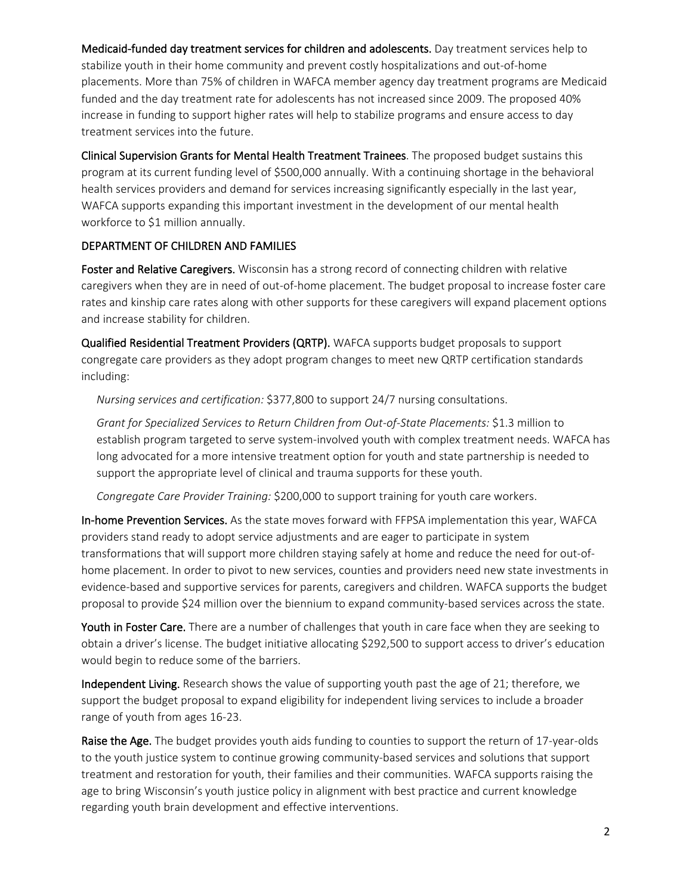Medicaid-funded day treatment services for children and adolescents. Day treatment services help to stabilize youth in their home community and prevent costly hospitalizations and out-of-home placements. More than 75% of children in WAFCA member agency day treatment programs are Medicaid funded and the day treatment rate for adolescents has not increased since 2009. The proposed 40% increase in funding to support higher rates will help to stabilize programs and ensure access to day treatment services into the future.

Clinical Supervision Grants for Mental Health Treatment Trainees. The proposed budget sustains this program at its current funding level of \$500,000 annually. With a continuing shortage in the behavioral health services providers and demand for services increasing significantly especially in the last year, WAFCA supports expanding this important investment in the development of our mental health workforce to \$1 million annually.

# DEPARTMENT OF CHILDREN AND FAMILIES

Foster and Relative Caregivers. Wisconsin has a strong record of connecting children with relative caregivers when they are in need of out-of-home placement. The budget proposal to increase foster care rates and kinship care rates along with other supports for these caregivers will expand placement options and increase stability for children.

Qualified Residential Treatment Providers (QRTP). WAFCA supports budget proposals to support congregate care providers as they adopt program changes to meet new QRTP certification standards including:

*Nursing services and certification:* \$377,800 to support 24/7 nursing consultations.

*Grant for Specialized Services to Return Children from Out-of-State Placements:* \$1.3 million to establish program targeted to serve system-involved youth with complex treatment needs. WAFCA has long advocated for a more intensive treatment option for youth and state partnership is needed to support the appropriate level of clinical and trauma supports for these youth.

*Congregate Care Provider Training:* \$200,000 to support training for youth care workers.

In-home Prevention Services. As the state moves forward with FFPSA implementation this year, WAFCA providers stand ready to adopt service adjustments and are eager to participate in system transformations that will support more children staying safely at home and reduce the need for out-ofhome placement. In order to pivot to new services, counties and providers need new state investments in evidence-based and supportive services for parents, caregivers and children. WAFCA supports the budget proposal to provide \$24 million over the biennium to expand community-based services across the state.

Youth in Foster Care. There are a number of challenges that youth in care face when they are seeking to obtain a driver's license. The budget initiative allocating \$292,500 to support access to driver's education would begin to reduce some of the barriers.

Independent Living. Research shows the value of supporting youth past the age of 21; therefore, we support the budget proposal to expand eligibility for independent living services to include a broader range of youth from ages 16-23.

Raise the Age. The budget provides youth aids funding to counties to support the return of 17-year-olds to the youth justice system to continue growing community-based services and solutions that support treatment and restoration for youth, their families and their communities. WAFCA supports raising the age to bring Wisconsin's youth justice policy in alignment with best practice and current knowledge regarding youth brain development and effective interventions.